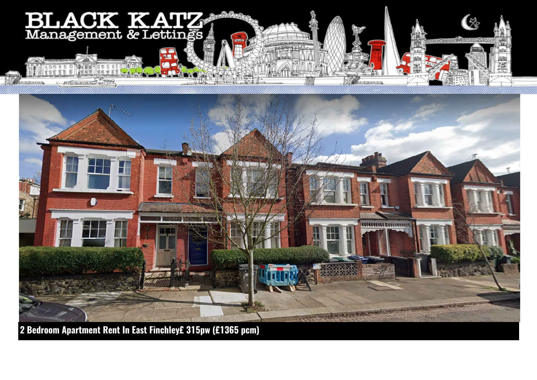

JEAN ARTHUR

**2 Bedroom Apartment Rent In East Finchley£ 315pw (£1365 pcm)**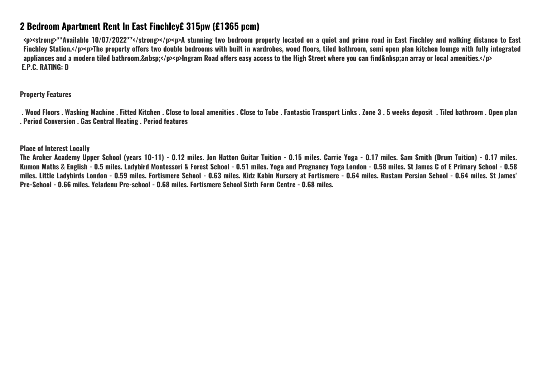## **2 Bedroom Apartment Rent In East Finchley£ 315pw (£1365 pcm)**

**<p><strong>\*\*Available 10/07/2022\*\*</strong></p><p>A stunning two bedroom property located on a quiet and prime road in East Finchley and walking distance to East Finchley Station.</p><p>The property offers two double bedrooms with built in wardrobes, wood floors, tiled bathroom, semi open plan kitchen lounge with fully integrated** appliances and a modern tiled bathroom.&nbsp:</p><p>lngram Road offers easy access to the High Street where you can find&nbsp:an array or local amenities.</p>  **E.P.C. RATING: D**

**Property Features**

 **. Wood Floors . Washing Machine . Fitted Kitchen . Close to local amenities . Close to Tube . Fantastic Transport Links . Zone 3 . 5 weeks deposit . Tiled bathroom . Open plan . Period Conversion . Gas Central Heating . Period features**

**Place of Interest Locally**

**The Archer Academy Upper School (years 10-11) - 0.12 miles. Jon Hatton Guitar Tuition - 0.15 miles. Carrie Yoga - 0.17 miles. Sam Smith (Drum Tuition) - 0.17 miles. Kumon Maths & English - 0.5 miles. Ladybird Montessori & Forest School - 0.51 miles. Yoga and Pregnancy Yoga London - 0.58 miles. St James C of E Primary School - 0.58 miles. Little Ladybirds London - 0.59 miles. Fortismere School - 0.63 miles. Kidz Kabin Nursery at Fortismere - 0.64 miles. Rustam Persian School - 0.64 miles. St James' Pre-School - 0.66 miles. Yeladenu Pre-school - 0.68 miles. Fortismere School Sixth Form Centre - 0.68 miles.**